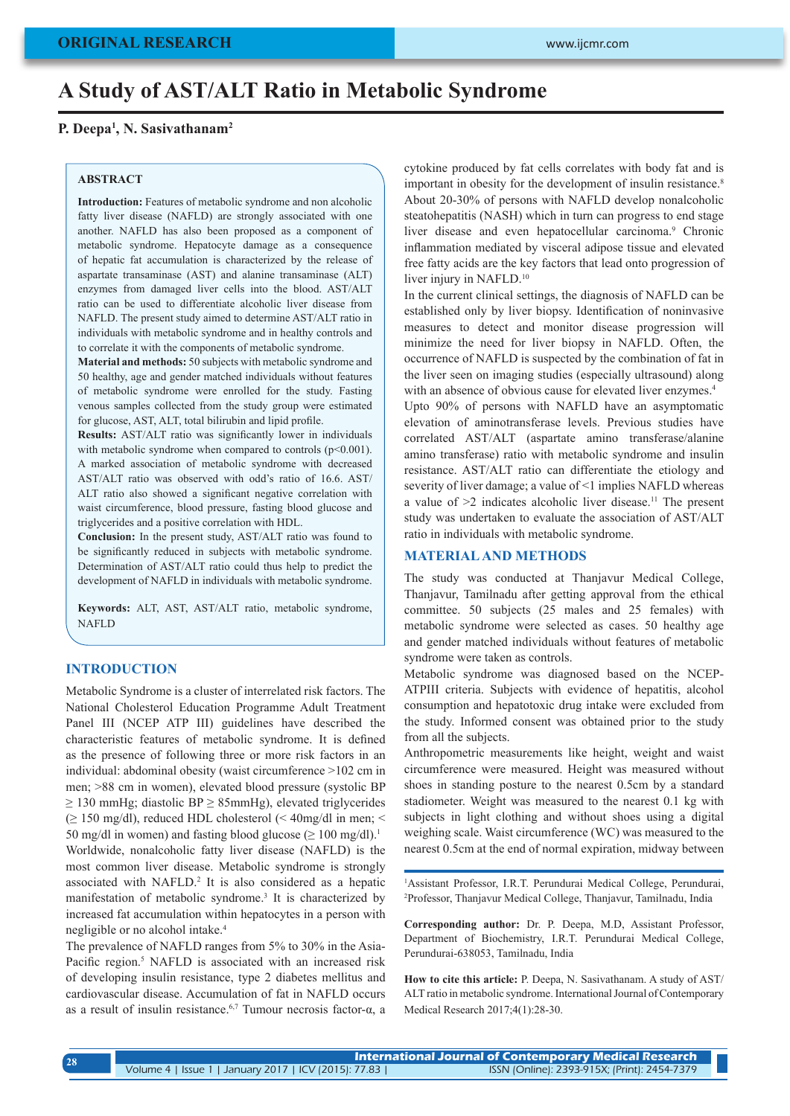# **A Study of AST/ALT Ratio in Metabolic Syndrome**

### **P. Deepa1 , N. Sasivathanam2**

#### **ABSTRACT**

**Introduction:** Features of metabolic syndrome and non alcoholic fatty liver disease (NAFLD) are strongly associated with one another. NAFLD has also been proposed as a component of metabolic syndrome. Hepatocyte damage as a consequence of hepatic fat accumulation is characterized by the release of aspartate transaminase (AST) and alanine transaminase (ALT) enzymes from damaged liver cells into the blood. AST/ALT ratio can be used to differentiate alcoholic liver disease from NAFLD. The present study aimed to determine AST/ALT ratio in individuals with metabolic syndrome and in healthy controls and to correlate it with the components of metabolic syndrome.

**Material and methods:** 50 subjects with metabolic syndrome and 50 healthy, age and gender matched individuals without features of metabolic syndrome were enrolled for the study. Fasting venous samples collected from the study group were estimated for glucose, AST, ALT, total bilirubin and lipid profile.

**Results:** AST/ALT ratio was significantly lower in individuals with metabolic syndrome when compared to controls  $(p<0.001)$ . A marked association of metabolic syndrome with decreased AST/ALT ratio was observed with odd's ratio of 16.6. AST/ ALT ratio also showed a significant negative correlation with waist circumference, blood pressure, fasting blood glucose and triglycerides and a positive correlation with HDL.

**Conclusion:** In the present study, AST/ALT ratio was found to be significantly reduced in subjects with metabolic syndrome. Determination of AST/ALT ratio could thus help to predict the development of NAFLD in individuals with metabolic syndrome.

**Keywords:** ALT, AST, AST/ALT ratio, metabolic syndrome, NAFLD

#### **INTRODUCTION**

Metabolic Syndrome is a cluster of interrelated risk factors. The National Cholesterol Education Programme Adult Treatment Panel III (NCEP ATP III) guidelines have described the characteristic features of metabolic syndrome. It is defined as the presence of following three or more risk factors in an individual: abdominal obesity (waist circumference >102 cm in men; >88 cm in women), elevated blood pressure (systolic BP  $\geq$  130 mmHg; diastolic BP  $\geq$  85mmHg), elevated triglycerides (≥ 150 mg/dl), reduced HDL cholesterol (< 40mg/dl in men; < 50 mg/dl in women) and fasting blood glucose ( $\geq 100$  mg/dl).<sup>1</sup> Worldwide, nonalcoholic fatty liver disease (NAFLD) is the most common liver disease. Metabolic syndrome is strongly associated with NAFLD.<sup>2</sup> It is also considered as a hepatic manifestation of metabolic syndrome.<sup>3</sup> It is characterized by increased fat accumulation within hepatocytes in a person with negligible or no alcohol intake.<sup>4</sup>

The prevalence of NAFLD ranges from 5% to 30% in the Asia-Pacific region.<sup>5</sup> NAFLD is associated with an increased risk of developing insulin resistance, type 2 diabetes mellitus and cardiovascular disease. Accumulation of fat in NAFLD occurs as a result of insulin resistance.6,7 Tumour necrosis factor-α, a

cytokine produced by fat cells correlates with body fat and is important in obesity for the development of insulin resistance.<sup>8</sup> About 20-30% of persons with NAFLD develop nonalcoholic steatohepatitis (NASH) which in turn can progress to end stage liver disease and even hepatocellular carcinoma.<sup>9</sup> Chronic inflammation mediated by visceral adipose tissue and elevated free fatty acids are the key factors that lead onto progression of liver injury in NAFLD.<sup>10</sup>

In the current clinical settings, the diagnosis of NAFLD can be established only by liver biopsy. Identification of noninvasive measures to detect and monitor disease progression will minimize the need for liver biopsy in NAFLD. Often, the occurrence of NAFLD is suspected by the combination of fat in the liver seen on imaging studies (especially ultrasound) along with an absence of obvious cause for elevated liver enzymes.<sup>4</sup>

Upto 90% of persons with NAFLD have an asymptomatic elevation of aminotransferase levels. Previous studies have correlated AST/ALT (aspartate amino transferase/alanine amino transferase) ratio with metabolic syndrome and insulin resistance. AST/ALT ratio can differentiate the etiology and severity of liver damage; a value of <1 implies NAFLD whereas a value of  $\geq 2$  indicates alcoholic liver disease.<sup>11</sup> The present study was undertaken to evaluate the association of AST/ALT ratio in individuals with metabolic syndrome.

#### **MATERIAL AND METHODS**

The study was conducted at Thanjavur Medical College, Thanjavur, Tamilnadu after getting approval from the ethical committee. 50 subjects (25 males and 25 females) with metabolic syndrome were selected as cases. 50 healthy age and gender matched individuals without features of metabolic syndrome were taken as controls.

Metabolic syndrome was diagnosed based on the NCEP-ATPIII criteria. Subjects with evidence of hepatitis, alcohol consumption and hepatotoxic drug intake were excluded from the study. Informed consent was obtained prior to the study from all the subjects.

Anthropometric measurements like height, weight and waist circumference were measured. Height was measured without shoes in standing posture to the nearest 0.5cm by a standard stadiometer. Weight was measured to the nearest 0.1 kg with subjects in light clothing and without shoes using a digital weighing scale. Waist circumference (WC) was measured to the nearest 0.5cm at the end of normal expiration, midway between

1 Assistant Professor, I.R.T. Perundurai Medical College, Perundurai, 2 Professor, Thanjavur Medical College, Thanjavur, Tamilnadu, India

**Corresponding author:** Dr. P. Deepa, M.D, Assistant Professor, Department of Biochemistry, I.R.T. Perundurai Medical College, Perundurai-638053, Tamilnadu, India

**How to cite this article:** P. Deepa, N. Sasivathanam. A study of AST/ ALT ratio in metabolic syndrome. International Journal of Contemporary Medical Research 2017;4(1):28-30.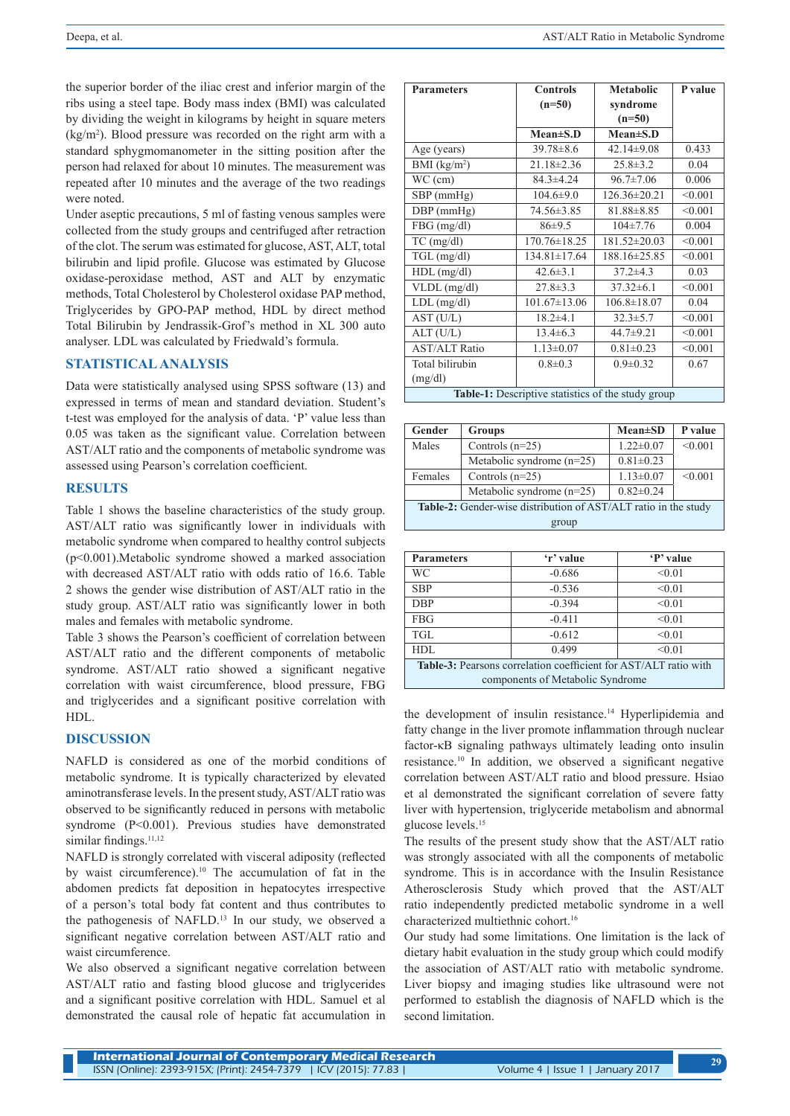the superior border of the iliac crest and inferior margin of the ribs using a steel tape. Body mass index (BMI) was calculated by dividing the weight in kilograms by height in square meters (kg/m2 ). Blood pressure was recorded on the right arm with a standard sphygmomanometer in the sitting position after the person had relaxed for about 10 minutes. The measurement was repeated after 10 minutes and the average of the two readings were noted.

Under aseptic precautions, 5 ml of fasting venous samples were collected from the study groups and centrifuged after retraction of the clot. The serum was estimated for glucose, AST, ALT, total bilirubin and lipid profile. Glucose was estimated by Glucose oxidase-peroxidase method, AST and ALT by enzymatic methods, Total Cholesterol by Cholesterol oxidase PAP method, Triglycerides by GPO-PAP method, HDL by direct method Total Bilirubin by Jendrassik-Grof's method in XL 300 auto analyser. LDL was calculated by Friedwald's formula.

## **STATISTICAL ANALYSIS**

Data were statistically analysed using SPSS software (13) and expressed in terms of mean and standard deviation. Student's t-test was employed for the analysis of data. 'P' value less than 0.05 was taken as the significant value. Correlation between AST/ALT ratio and the components of metabolic syndrome was assessed using Pearson's correlation coefficient.

# **RESULTS**

Table 1 shows the baseline characteristics of the study group. AST/ALT ratio was significantly lower in individuals with metabolic syndrome when compared to healthy control subjects (p<0.001).Metabolic syndrome showed a marked association with decreased AST/ALT ratio with odds ratio of 16.6. Table 2 shows the gender wise distribution of AST/ALT ratio in the study group. AST/ALT ratio was significantly lower in both males and females with metabolic syndrome.

Table 3 shows the Pearson's coefficient of correlation between AST/ALT ratio and the different components of metabolic syndrome. AST/ALT ratio showed a significant negative correlation with waist circumference, blood pressure, FBG and triglycerides and a significant positive correlation with HDL.

#### **DISCUSSION**

NAFLD is considered as one of the morbid conditions of metabolic syndrome. It is typically characterized by elevated aminotransferase levels. In the present study, AST/ALT ratio was observed to be significantly reduced in persons with metabolic syndrome (P<0.001). Previous studies have demonstrated similar findings.<sup>11,12</sup>

NAFLD is strongly correlated with visceral adiposity (reflected by waist circumference).<sup>10</sup> The accumulation of fat in the abdomen predicts fat deposition in hepatocytes irrespective of a person's total body fat content and thus contributes to the pathogenesis of NAFLD.<sup>13</sup> In our study, we observed a significant negative correlation between AST/ALT ratio and waist circumference.

We also observed a significant negative correlation between AST/ALT ratio and fasting blood glucose and triglycerides and a significant positive correlation with HDL. Samuel et al demonstrated the causal role of hepatic fat accumulation in

| <b>Parameters</b>                                  | <b>Controls</b>    | <b>Metabolic</b>   | P value |  |
|----------------------------------------------------|--------------------|--------------------|---------|--|
|                                                    | $(n=50)$           | syndrome           |         |  |
|                                                    |                    | $(n=50)$           |         |  |
|                                                    | $Mean \pm S.D$     | $Mean \pm S.D$     |         |  |
| Age (years)                                        | $39.78 \pm 8.6$    | $42.14 \pm 9.08$   | 0.433   |  |
| BMI (kg/m <sup>2</sup> )                           | $21.18 \pm 2.36$   | $25.8 \pm 3.2$     | 0.04    |  |
| $WC$ (cm)                                          | $84.3 \pm 4.24$    | $96.7 \pm 7.06$    | 0.006   |  |
| $SBP$ (mmHg)                                       | $104.6 \pm 9.0$    | $126.36 \pm 20.21$ | < 0.001 |  |
| $DBP$ (mmHg)                                       | 74.56±3.85         | $81.88 \pm 8.85$   | < 0.001 |  |
| $FBG$ (mg/dl)                                      | 86±9.5             | $104 \pm 7.76$     | 0.004   |  |
| $TC$ (mg/dl)                                       | 170.76±18.25       | 181.52±20.03       | < 0.001 |  |
| $TGL$ (mg/dl)                                      | $134.81 \pm 17.64$ | 188.16±25.85       | < 0.001 |  |
| $HDL$ (mg/dl)                                      | $42.6 \pm 3.1$     | $37.2 \pm 4.3$     | 0.03    |  |
| $VLDL$ (mg/dl)                                     | $27.8 \pm 3.3$     | $37.32\pm 6.1$     | < 0.001 |  |
| $LDL$ (mg/dl)                                      | $101.67 \pm 13.06$ | $106.8 \pm 18.07$  | 0.04    |  |
| AST (U/L)                                          | $18.2 \pm 4.1$     | $32.3 \pm 5.7$     | < 0.001 |  |
| ALT (U/L)                                          | $13.4 \pm 6.3$     | $44.7 \pm 9.21$    | < 0.001 |  |
| <b>AST/ALT Ratio</b>                               | $1.13 \pm 0.07$    | $0.81 \pm 0.23$    | < 0.001 |  |
| Total bilirubin                                    | $0.8 \pm 0.3$      | $0.9 \pm 0.32$     | 0.67    |  |
| (mg/dl)                                            |                    |                    |         |  |
| Table-1: Descriptive statistics of the study group |                    |                    |         |  |

| Gender                                                                 | <b>Groups</b>               | $Mean \pm SD$   | P value |  |  |
|------------------------------------------------------------------------|-----------------------------|-----------------|---------|--|--|
| Males                                                                  | Controls $(n=25)$           | $1.22 \pm 0.07$ | < 0.001 |  |  |
|                                                                        | Metabolic syndrome $(n=25)$ | $0.81 \pm 0.23$ |         |  |  |
| Females                                                                | Controls $(n=25)$           | $1.13 \pm 0.07$ | < 0.001 |  |  |
|                                                                        | Metabolic syndrome $(n=25)$ | $0.82 \pm 0.24$ |         |  |  |
| <b>Table-2:</b> Gender-wise distribution of AST/ALT ratio in the study |                             |                 |         |  |  |
| group                                                                  |                             |                 |         |  |  |

| <b>Parameters</b>                                                | 'r' value | 'P' value |  |  |
|------------------------------------------------------------------|-----------|-----------|--|--|
| WС                                                               | $-0.686$  | < 0.01    |  |  |
| <b>SBP</b>                                                       | $-0.536$  | < 0.01    |  |  |
| <b>DBP</b>                                                       | $-0.394$  | < 0.01    |  |  |
| <b>FBG</b>                                                       | $-0.411$  | < 0.01    |  |  |
| <b>TGL</b>                                                       | $-0.612$  | < 0.01    |  |  |
| HDL                                                              | 0.499     | < 0.01    |  |  |
| Table-3: Pearsons correlation coefficient for AST/ALT ratio with |           |           |  |  |
| components of Metabolic Syndrome                                 |           |           |  |  |

the development of insulin resistance.<sup>14</sup> Hyperlipidemia and fatty change in the liver promote inflammation through nuclear factor-κB signaling pathways ultimately leading onto insulin resistance.10 In addition, we observed a significant negative correlation between AST/ALT ratio and blood pressure. Hsiao et al demonstrated the significant correlation of severe fatty liver with hypertension, triglyceride metabolism and abnormal glucose levels.15

The results of the present study show that the AST/ALT ratio was strongly associated with all the components of metabolic syndrome. This is in accordance with the Insulin Resistance Atherosclerosis Study which proved that the AST/ALT ratio independently predicted metabolic syndrome in a well characterized multiethnic cohort.16

Our study had some limitations. One limitation is the lack of dietary habit evaluation in the study group which could modify the association of AST/ALT ratio with metabolic syndrome. Liver biopsy and imaging studies like ultrasound were not performed to establish the diagnosis of NAFLD which is the second limitation.